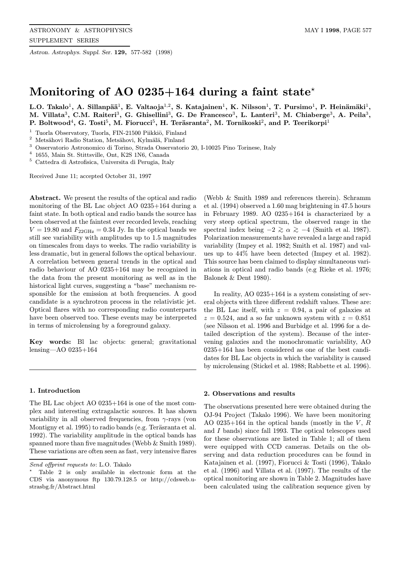Astron. Astrophys. Suppl. Ser. 129, 577-582 (1998)

# Monitoring of AO 0235+164 during a faint state<sup> $\star$ </sup>

L.O. Takalo<sup>1</sup>, A. Sillanpää<sup>1</sup>, E. Valtaoja<sup>1,2</sup>, S. Katajainen<sup>1</sup>, K. Nilsson<sup>1</sup>, T. Pursimo<sup>1</sup>, P. Heinämäki<sup>1</sup>, M. Villata<sup>3</sup>, C.M. Raiteri<sup>3</sup>, G. Ghisellini<sup>3</sup>, G. De Francesco<sup>3</sup>, L. Lanteri<sup>3</sup>, M. Chiaberge<sup>3</sup>, A. Peila<sup>3</sup>, P. Boltwood<sup>4</sup>, G. Tosti<sup>5</sup>, M. Fiorucci<sup>5</sup>, H. Teräsranta<sup>2</sup>, M. Tornikoski<sup>2</sup>, and P. Teerikorpi<sup>1</sup>

<sup>1</sup> Tuorla Observatory, Tuorla, FIN-21500 Piikkiö, Finland

<sup>2</sup> Metsähovi Radio Station, Metsähovi, Kylmälä, Finland

<sup>3</sup> Osservatorio Astronomico di Torino, Strada Osservatorio 20, I-10025 Pino Torinese, Italy

 $^4\,$  1655, Main St. Stittsville, Ont, K2S 1N6, Canada

<sup>5</sup> Cattedra di Astrofisica, Universita di Perugia, Italy

Received June 11; accepted October 31, 1997

Abstract. We present the results of the optical and radio monitoring of the BL Lac object AO 0235+164 during a faint state. In both optical and radio bands the source has been observed at the faintest ever recorded levels, reaching  $V = 19.80$  and  $F_{22\text{GHz}} = 0.34$  Jy. In the optical bands we still see variability with amplitudes up to 1.5 magnitudes on timescales from days to weeks. The radio variability is less dramatic, but in general follows the optical behaviour. A correlation between general trends in the optical and radio behaviour of AO 0235+164 may be recognized in the data from the present monitoring as well as in the historical light curves, suggesting a "base" mechanism responsible for the emission at both frequencies. A good candidate is a synchrotron process in the relativistic jet. Optical flares with no corresponding radio counterparts have been observed too. These events may be interpreted in terms of microlensing by a foreground galaxy.

Key words: Bl lac objects: general; gravitational lensing—AO 0235+164

# 1. Introduction

The BL Lac object AO 0235+164 is one of the most complex and interesting extragalactic sources. It has shown variability in all observed frequencies, from  $\gamma$ -rays (von Montigny et al. 1995) to radio bands (e.g. Teräsranta et al. 1992). The variability amplitude in the optical bands has spanned more than five magnitudes (Webb & Smith 1989). These variations are often seen as fast, very intensive flares

(Webb & Smith 1989 and references therein). Schramm et al. (1994) observed a 1.60 mag brightening in 47.5 hours in February 1989. AO 0235+164 is characterized by a very steep optical spectrum, the observed range in the spectral index being  $-2 \ge \alpha \ge -4$  (Smith et al. 1987). Polarization measurements have revealed a large and rapid variability (Impey et al. 1982; Smith et al. 1987) and values up to 44% have been detected (Impey et al. 1982). This source has been claimed to display simultaneous variations in optical and radio bands (e.g Rieke et al. 1976; Balonek & Dent 1980).

In reality, AO 0235+164 is a system consisting of several objects with three different redshift values. These are: the BL Lac itself, with  $z = 0.94$ , a pair of galaxies at  $z = 0.524$ , and a so far unknown system with  $z = 0.851$ (see Nilsson et al. 1996 and Burbidge et al. 1996 for a detailed description of the system). Because of the intervening galaxies and the monochromatic variability, AO 0235+164 has been considered as one of the best candidates for BL Lac objects in which the variability is caused by microlensing (Stickel et al. 1988; Rabbette et al. 1996).

### 2. Observations and results

The observations presented here were obtained during the OJ-94 Project (Takalo 1996). We have been monitoring AO 0235+164 in the optical bands (mostly in the  $V, R$ and I bands) since fall 1993. The optical telescopes used for these observations are listed in Table 1; all of them were equipped with CCD cameras. Details on the observing and data reduction procedures can be found in Katajainen et al. (1997), Fiorucci & Tosti (1996), Takalo et al. (1996) and Villata et al. (1997). The results of the optical monitoring are shown in Table 2. Magnitudes have been calculated using the calibration sequence given by

Send offprint requests to: L.O. Takalo

<sup>?</sup> Table 2 is only available in electronic form at the CDS via anonymous ftp 130.79.128.5 or http://cdsweb.ustrasbg.fr/Abstract.html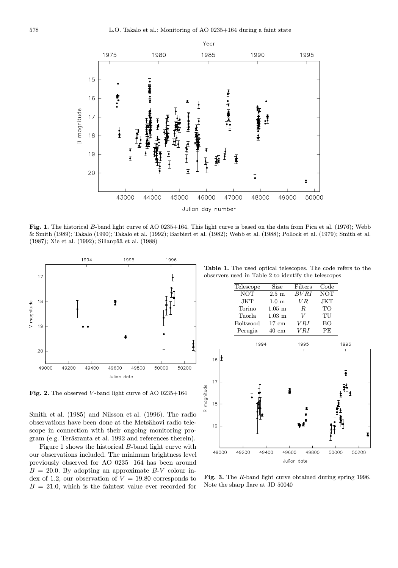

Fig. 1. The historical B-band light curve of AO 0235+164. This light curve is based on the data from Pica et al. (1976); Webb & Smith (1989); Takalo (1990); Takalo et al. (1992); Barbieri et al. (1982); Webb et al. (1988); Pollock et al. (1979); Smith et al. (1987); Xie et al. (1992); Sillanpää et al. (1988)



Fig. 2. The observed V-band light curve of AO 0235+164

Smith et al. (1985) and Nilsson et al. (1996). The radio observations have been done at the Metsähovi radio telescope in connection with their ongoing monitoring program (e.g. Teräsranta et al. 1992 and references therein).

Figure 1 shows the historical B-band light curve with our observations included. The minimum brightness level previously observed for AO 0235+164 has been around  $B = 20.0$ . By adopting an approximate  $B-V$  colour index of 1.2, our observation of  $V = 19.80$  corresponds to  $B = 21.0$ , which is the faintest value ever recorded for

Table 1. The used optical telescopes. The code refers to the observers used in Table 2 to identify the telescopes

| Telescope       | Size                 | Filters | Code       |
|-----------------|----------------------|---------|------------|
| <b>NOT</b>      | $2.5 \text{ m}$      | BVRI    | <b>NOT</b> |
| JKT.            | $1.0 \text{ m}$      | V R.    | JKT.       |
| Torino          | $1.05 \; \mathrm{m}$ | R.      | TО         |
| Tuorla          | $1.03 \; \mathrm{m}$ | V       | TU         |
| <b>Boltwood</b> | $17 \text{ cm}$      | V RI    | BO         |
| Perugia         | 40 cm                | V R I   | PF.        |



Fig. 3. The R-band light curve obtained during spring 1996. Note the sharp flare at JD 50040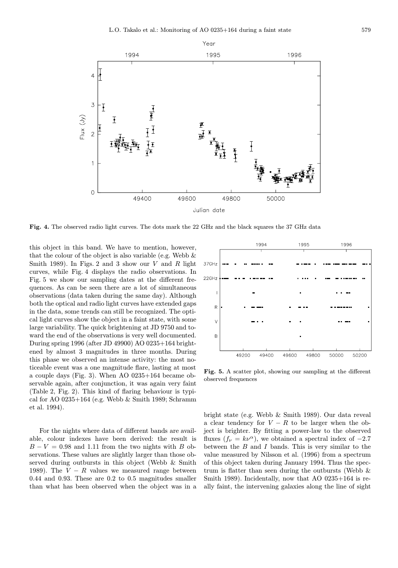

Fig. 4. The observed radio light curves. The dots mark the 22 GHz and the black squares the 37 GHz data

this object in this band. We have to mention, however, that the colour of the object is also variable (e.g. Webb  $\&$ Smith 1989). In Figs. 2 and 3 show our  $V$  and  $R$  light curves, while Fig. 4 displays the radio observations. In Fig. 5 we show our sampling dates at the different frequences. As can be seen there are a lot of simultaneous observations (data taken during the same day). Although both the optical and radio light curves have extended gaps in the data, some trends can still be recognized. The optical light curves show the object in a faint state, with some large variability. The quick brightening at JD 9750 and toward the end of the observations is very well documented. During spring 1996 (after JD 49900) AO 0235+164 brightened by almost 3 magnitudes in three months. During this phase we observed an intense activity: the most noticeable event was a one magnitude flare, lasting at most a couple days (Fig. 3). When AO 0235+164 became observable again, after conjunction, it was again very faint (Table 2, Fig. 2). This kind of flaring behaviour is typical for AO 0235+164 (e.g. Webb & Smith 1989; Schramm et al. 1994).

For the nights where data of different bands are available, colour indexes have been derived: the result is  $B - V = 0.98$  and 1.11 from the two nights with B observations. These values are slightly larger than those observed during outbursts in this object (Webb & Smith 1989). The  $V - R$  values we measured range between 0.44 and 0.93. These are 0.2 to 0.5 magnitudes smaller than what has been observed when the object was in a



Fig. 5. A scatter plot, showing our sampling at the different observed frequences

bright state (e.g. Webb & Smith 1989). Our data reveal a clear tendency for  $V - R$  to be larger when the object is brighter. By fitting a power-law to the observed fluxes  $(f_{\nu} = k\nu^{\alpha})$ , we obtained a spectral index of -2.7 between the  $B$  and  $I$  bands. This is very similar to the value measured by Nilsson et al. (1996) from a spectrum of this object taken during January 1994. Thus the spectrum is flatter than seen during the outbursts (Webb  $\&$ Smith 1989). Incidentally, now that AO 0235+164 is really faint, the intervening galaxies along the line of sight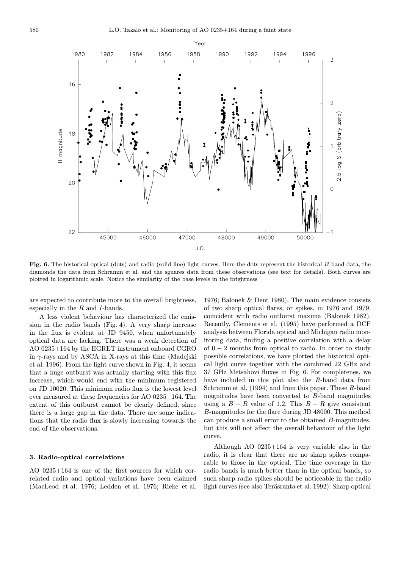

Fig. 6. The historical optical (dots) and radio (solid line) light curves. Here the dots represent the historical B-band data, the diamonds the data from Schramm et al. and the sguares data from these observations (see text for details). Both curves are plotted in logarithmic scale. Notice the similarity of the base levels in the brightness

are expected to contribute more to the overall brightness, especially in the  $R$  and  $I$ -bands.

A less violent behaviour has characterized the emission in the radio bands (Fig. 4). A very sharp increase in the flux is evident at JD 9450, when unfortunately optical data are lacking. There was a weak detection of AO 0235+164 by the EGRET instrument onboard CGRO in  $\gamma$ -rays and by ASCA in X-rays at this time (Madejski et al. 1996). From the light curve shown in Fig. 4, it seems that a huge outburst was actually starting with this flux increase, which would end with the minimum registered on JD 10020. This minimum radio flux is the lowest level ever measured at these frequencies for AO 0235+164. The extent of this outburst cannot be clearly defined, since there is a large gap in the data. There are some indications that the radio flux is slowly increasing towards the end of the observations.

#### 3. Radio-optical correlations

AO 0235+164 is one of the first sources for which correlated radio and optical variations have been claimed (MacLeod et al. 1976; Ledden et al. 1976; Rieke et al.

1976; Balonek & Dent 1980). The main evidence consists of two sharp optical flares, or spikes, in 1976 and 1979, coincident with radio outburst maxima (Balonek 1982). Recently, Clements et al. (1995) have performed a DCF analysis between Florida optical and Michigan radio monitoring data, finding a positive correlation with a delay of  $0 - 2$  months from optical to radio. In order to study possible correlations, we have plotted the historical optical light curve together with the combined 22 GHz and 37 GHz Metsähovi fluxes in Fig. 6. For completenes, we have included in this plot also the R-band data from Schramm et al. (1994) and from this paper. These R-band magnitudes have been converted to B-band magnitudes using a  $B - R$  value of 1.2. This  $B - R$  give consistent B-magnitudes for the flare during JD 48000. This method can produce a small error to the obtained B-magnitudes, but this will not affect the overall behaviour of the light curve.

Although AO 0235+164 is very variable also in the radio, it is clear that there are no sharp spikes comparable to those in the optical. The time coverage in the radio bands is much better than in the optical bands, so such sharp radio spikes should be noticeable in the radio light curves (see also Teräsranta et al. 1992). Sharp optical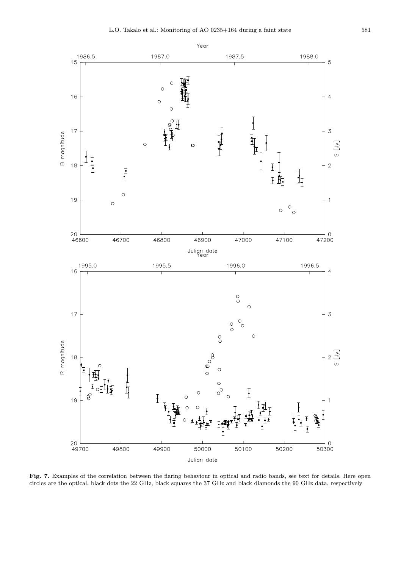

Fig. 7. Examples of the correlation between the flaring behaviour in optical and radio bands, see text for details. Here open circles are the optical, black dots the 22 GHz, black squares the 37 GHz and black diamonds the 90 GHz data, respectively